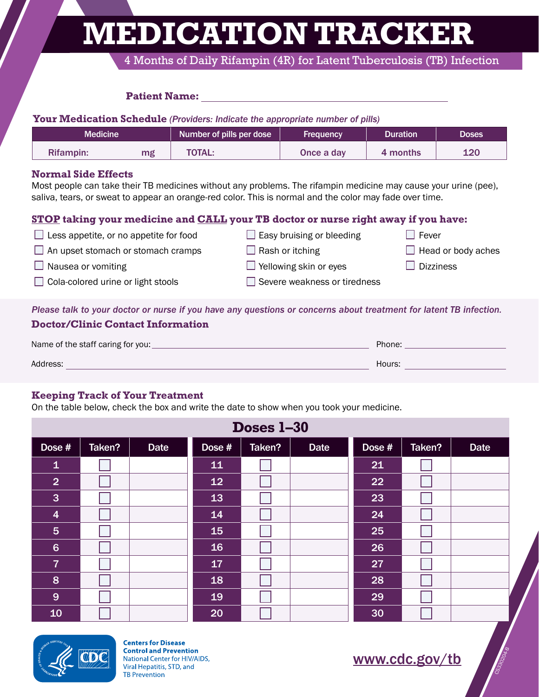**MEDICATION TRACKER**

4 Months of Daily Rifampin (4R) for Latent Tuberculosis (TB) Infection

#### **Patient Name:**

**Your Medication Schedule** *(Providers: Indicate the appropriate number of pills)*

| Medicine <b>\</b> |    | Number of pills per dose | Frequency  | <b>Duration</b> | <b>Doses</b> |
|-------------------|----|--------------------------|------------|-----------------|--------------|
| Rifampin:         | mg | <b>TOTAL:</b>            | Once a day | 4 months        | 120          |

#### **Normal Side Effects**

Most people can take their TB medicines without any problems. The rifampin medicine may cause your urine (pee), saliva, tears, or sweat to appear an orange-red color. This is normal and the color may fade over time.

### **STOP taking your medicine and CALL your TB doctor or nurse right away if you have:**

| Less appetite, or no appetite for food                                                                            | $\Box$ Easy bruising or bleeding    | Fever                     |
|-------------------------------------------------------------------------------------------------------------------|-------------------------------------|---------------------------|
| $\Box$ An upset stomach or stomach cramps                                                                         | $\Box$ Rash or itching              | $\Box$ Head or body aches |
| $\Box$ Nausea or vomiting                                                                                         | $\Box$ Yellowing skin or eyes       | <b>Dizziness</b>          |
| $\Box$ Cola-colored urine or light stools                                                                         | $\Box$ Severe weakness or tiredness |                           |
|                                                                                                                   |                                     |                           |
| Places talk to your doctor or nurse if you have any questions or conserve about treatment for latent TP infection |                                     |                           |

*Please talk to your doctor or nurse if you have any questions or concerns about treatment for latent TB infection.*

| Doctor, Chine Contact much range  |        |
|-----------------------------------|--------|
| Name of the staff caring for you: | Phone: |
| Address:                          | Hours: |

#### **Keeping Track of Your Treatment**

**Doctor/Clinic Contact Information**

On the table below, check the box and write the date to show when you took your medicine.

| Doses 1-30              |        |             |        |        |             |        |        |             |  |
|-------------------------|--------|-------------|--------|--------|-------------|--------|--------|-------------|--|
| Dose #                  | Taken? | <b>Date</b> | Dose # | Taken? | <b>Date</b> | Dose # | Taken? | <b>Date</b> |  |
| $\mathbf{1}$            |        |             | 11     |        |             | 21     |        |             |  |
| $\overline{2}$          |        |             | 12     |        |             | 22     |        |             |  |
| $\overline{3}$          |        |             | 13     |        |             | 23     |        |             |  |
| $\overline{\mathbf{4}}$ |        |             | 14     |        |             | 24     |        |             |  |
| $5\phantom{1}$          |        |             | 15     |        |             | 25     |        |             |  |
| $6\phantom{1}$          |        |             | 16     |        |             | 26     |        |             |  |
| $\overline{7}$          |        |             | 17     |        |             | 27     |        |             |  |
| 8                       |        |             | 18     |        |             | 28     |        |             |  |
| 9                       |        |             | 19     |        |             | 29     |        |             |  |
| 10                      |        |             | 20     |        |             | 30     |        |             |  |



**Centers for Disease Control and Prevention** National Center for HIV/AIDS, Viral Hepatitis, STD, and TB Prevention

<www.cdc.gov/tb>